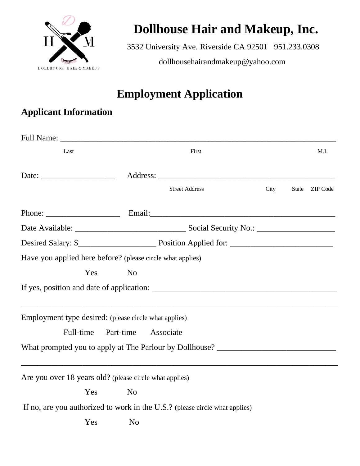

# **Dollhouse Hair and Makeup, Inc.**

3532 University Ave. Riverside CA 92501 951.233.0308 dollhousehairandmakeup@yahoo.com

## **Employment Application**

### **Applicant Information**

| Last                                                                        |                    | First                                                                             |      |       | M.I.     |  |  |
|-----------------------------------------------------------------------------|--------------------|-----------------------------------------------------------------------------------|------|-------|----------|--|--|
|                                                                             |                    |                                                                                   |      |       |          |  |  |
|                                                                             |                    | <b>Street Address</b>                                                             | City | State | ZIP Code |  |  |
|                                                                             |                    |                                                                                   |      |       |          |  |  |
|                                                                             |                    |                                                                                   |      |       |          |  |  |
|                                                                             | Desired Salary: \$ |                                                                                   |      |       |          |  |  |
| Have you applied here before? (please circle what applies)                  |                    |                                                                                   |      |       |          |  |  |
| Yes                                                                         | N <sub>o</sub>     |                                                                                   |      |       |          |  |  |
|                                                                             |                    |                                                                                   |      |       |          |  |  |
| Employment type desired: (please circle what applies)                       |                    | ,我们也不能在这里,我们也不能在这里的时候,我们也不能会不能会不能会不能会不能会不能会不能会。""我们的人们,我们也不能会不能会不能会不能会不能会不能会不能会不  |      |       |          |  |  |
| Full-time                                                                   | Part-time          | Associate                                                                         |      |       |          |  |  |
|                                                                             |                    | What prompted you to apply at The Parlour by Dollhouse? _________________________ |      |       |          |  |  |
|                                                                             |                    |                                                                                   |      |       |          |  |  |
| Are you over 18 years old? (please circle what applies)                     |                    |                                                                                   |      |       |          |  |  |
| Yes                                                                         | N <sub>o</sub>     |                                                                                   |      |       |          |  |  |
| If no, are you authorized to work in the U.S.? (please circle what applies) |                    |                                                                                   |      |       |          |  |  |
| Yes                                                                         | N <sub>o</sub>     |                                                                                   |      |       |          |  |  |
|                                                                             |                    |                                                                                   |      |       |          |  |  |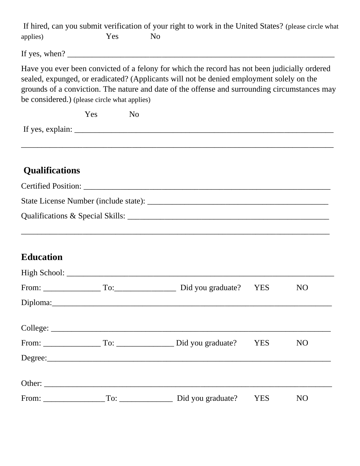| applies)                                     | Yes |             | N <sub>o</sub> | If hired, can you submit verification of your right to work in the United States? (please circle what                                                                                                                                                                                      |            |                |
|----------------------------------------------|-----|-------------|----------------|--------------------------------------------------------------------------------------------------------------------------------------------------------------------------------------------------------------------------------------------------------------------------------------------|------------|----------------|
|                                              |     |             |                |                                                                                                                                                                                                                                                                                            |            |                |
| be considered.) (please circle what applies) |     |             |                | Have you ever been convicted of a felony for which the record has not been judicially ordered<br>sealed, expunged, or eradicated? (Applicants will not be denied employment solely on the<br>grounds of a conviction. The nature and date of the offense and surrounding circumstances may |            |                |
|                                              | Yes | $N_{\rm O}$ |                |                                                                                                                                                                                                                                                                                            |            |                |
|                                              |     |             |                |                                                                                                                                                                                                                                                                                            |            |                |
| <b>Qualifications</b>                        |     |             |                |                                                                                                                                                                                                                                                                                            |            |                |
|                                              |     |             |                |                                                                                                                                                                                                                                                                                            |            |                |
|                                              |     |             |                |                                                                                                                                                                                                                                                                                            |            |                |
|                                              |     |             |                | ,我们也不能会在这里,我们的人们就会不能会在这里,我们也不能会不能会不能会不能会不能会不能会不能会。""我们的人们,我们也不能会不能会不能会不能会不能会不能会不                                                                                                                                                                                                           |            |                |
| <b>Education</b>                             |     |             |                |                                                                                                                                                                                                                                                                                            |            |                |
|                                              |     |             |                |                                                                                                                                                                                                                                                                                            |            |                |
|                                              |     |             |                |                                                                                                                                                                                                                                                                                            |            | N <sub>O</sub> |
|                                              |     |             |                |                                                                                                                                                                                                                                                                                            |            |                |
|                                              |     |             |                |                                                                                                                                                                                                                                                                                            |            |                |
|                                              |     |             |                |                                                                                                                                                                                                                                                                                            |            | N <sub>O</sub> |
|                                              |     |             |                |                                                                                                                                                                                                                                                                                            |            |                |
|                                              |     |             |                |                                                                                                                                                                                                                                                                                            |            |                |
|                                              |     |             |                |                                                                                                                                                                                                                                                                                            | <b>YES</b> | N <sub>O</sub> |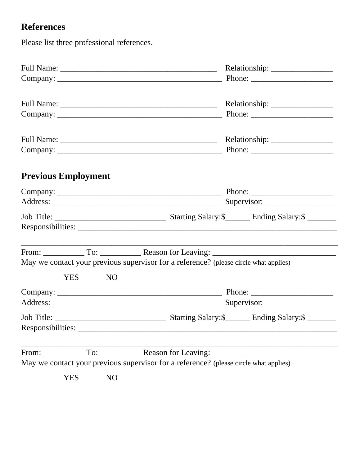## **References**

Please list three professional references.

| <b>Previous Employment</b>   |                                                                                       |
|------------------------------|---------------------------------------------------------------------------------------|
|                              |                                                                                       |
|                              |                                                                                       |
|                              |                                                                                       |
|                              |                                                                                       |
|                              | May we contact your previous supervisor for a reference? (please circle what applies) |
| <b>YES</b><br><b>NO</b>      |                                                                                       |
|                              |                                                                                       |
|                              |                                                                                       |
|                              |                                                                                       |
|                              |                                                                                       |
|                              | May we contact your previous supervisor for a reference? (please circle what applies) |
| <b>YES</b><br>N <sub>O</sub> |                                                                                       |